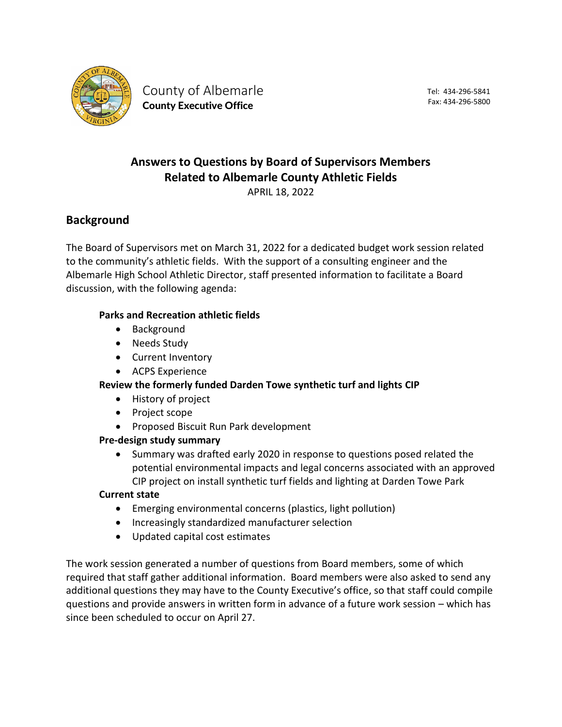

County of Albemarle County Executive Office

Tel: 434-296-5841 Fax: 434-296-5800

# **Answers to Questions by Board of Supervisors Members Related to Albemarle County Athletic Fields**

APRIL 18, 2022

# **Background**

The Board of Supervisors met on March 31, 2022 for a dedicated budget work session related to the community's athletic fields. With the support of a consulting engineer and the Albemarle High School Athletic Director, staff presented information to facilitate a Board discussion, with the following agenda:

### **Parks and Recreation athletic fields**

- Background
- Needs Study
- Current Inventory
- ACPS Experience

### **Review the formerly funded Darden Towe synthetic turf and lights CIP**

- History of project
- Project scope
- Proposed Biscuit Run Park development

### **Pre-design study summary**

• Summary was drafted early 2020 in response to questions posed related the potential environmental impacts and legal concerns associated with an approved CIP project on install synthetic turf fields and lighting at Darden Towe Park

### **Current state**

- Emerging environmental concerns (plastics, light pollution)
- Increasingly standardized manufacturer selection
- Updated capital cost estimates

The work session generated a number of questions from Board members, some of which required that staff gather additional information. Board members were also asked to send any additional questions they may have to the County Executive's office, so that staff could compile questions and provide answers in written form in advance of a future work session – which has since been scheduled to occur on April 27.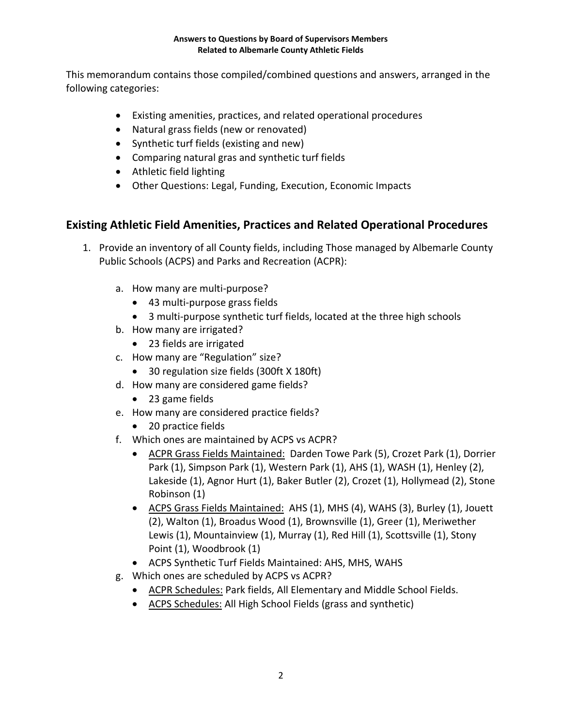This memorandum contains those compiled/combined questions and answers, arranged in the following categories:

- Existing amenities, practices, and related operational procedures
- Natural grass fields (new or renovated)
- Synthetic turf fields (existing and new)
- Comparing natural gras and synthetic turf fields
- Athletic field lighting
- Other Questions: Legal, Funding, Execution, Economic Impacts

# **Existing Athletic Field Amenities, Practices and Related Operational Procedures**

- 1. Provide an inventory of all County fields, including Those managed by Albemarle County Public Schools (ACPS) and Parks and Recreation (ACPR):
	- a. How many are multi-purpose?
		- 43 multi-purpose grass fields
		- 3 multi-purpose synthetic turf fields, located at the three high schools
	- b. How many are irrigated?
		- 23 fields are irrigated
	- c. How many are "Regulation" size?
		- 30 regulation size fields (300ft X 180ft)
	- d. How many are considered game fields?
		- 23 game fields
	- e. How many are considered practice fields?
		- 20 practice fields
	- f. Which ones are maintained by ACPS vs ACPR?
		- ACPR Grass Fields Maintained: Darden Towe Park (5), Crozet Park (1), Dorrier Park (1), Simpson Park (1), Western Park (1), AHS (1), WASH (1), Henley (2), Lakeside (1), Agnor Hurt (1), Baker Butler (2), Crozet (1), Hollymead (2), Stone Robinson (1)
		- ACPS Grass Fields Maintained: AHS (1), MHS (4), WAHS (3), Burley (1), Jouett (2), Walton (1), Broadus Wood (1), Brownsville (1), Greer (1), Meriwether Lewis (1), Mountainview (1), Murray (1), Red Hill (1), Scottsville (1), Stony Point (1), Woodbrook (1)
		- ACPS Synthetic Turf Fields Maintained: AHS, MHS, WAHS
	- g. Which ones are scheduled by ACPS vs ACPR?
		- ACPR Schedules: Park fields, All Elementary and Middle School Fields.
		- ACPS Schedules: All High School Fields (grass and synthetic)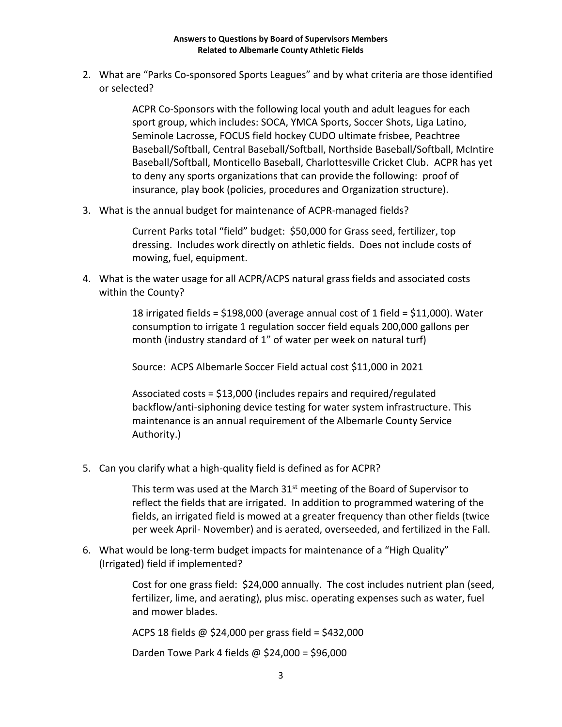2. What are "Parks Co-sponsored Sports Leagues" and by what criteria are those identified or selected?

> ACPR Co-Sponsors with the following local youth and adult leagues for each sport group, which includes: SOCA, YMCA Sports, Soccer Shots, Liga Latino, Seminole Lacrosse, FOCUS field hockey CUDO ultimate frisbee, Peachtree Baseball/Softball, Central Baseball/Softball, Northside Baseball/Softball, McIntire Baseball/Softball, Monticello Baseball, Charlottesville Cricket Club. ACPR has yet to deny any sports organizations that can provide the following: proof of insurance, play book (policies, procedures and Organization structure).

3. What is the annual budget for maintenance of ACPR-managed fields?

Current Parks total "field" budget: \$50,000 for Grass seed, fertilizer, top dressing. Includes work directly on athletic fields. Does not include costs of mowing, fuel, equipment.

4. What is the water usage for all ACPR/ACPS natural grass fields and associated costs within the County?

> 18 irrigated fields = \$198,000 (average annual cost of 1 field = \$11,000). Water consumption to irrigate 1 regulation soccer field equals 200,000 gallons per month (industry standard of 1" of water per week on natural turf)

Source: ACPS Albemarle Soccer Field actual cost \$11,000 in 2021

Associated costs = \$13,000 (includes repairs and required/regulated backflow/anti-siphoning device testing for water system infrastructure. This maintenance is an annual requirement of the Albemarle County Service Authority.)

5. Can you clarify what a high-quality field is defined as for ACPR?

This term was used at the March  $31<sup>st</sup>$  meeting of the Board of Supervisor to reflect the fields that are irrigated. In addition to programmed watering of the fields, an irrigated field is mowed at a greater frequency than other fields (twice per week April- November) and is aerated, overseeded, and fertilized in the Fall.

6. What would be long-term budget impacts for maintenance of a "High Quality" (Irrigated) field if implemented?

> Cost for one grass field: \$24,000 annually. The cost includes nutrient plan (seed, fertilizer, lime, and aerating), plus misc. operating expenses such as water, fuel and mower blades.

ACPS 18 fields @ \$24,000 per grass field = \$432,000

Darden Towe Park 4 fields @ \$24,000 = \$96,000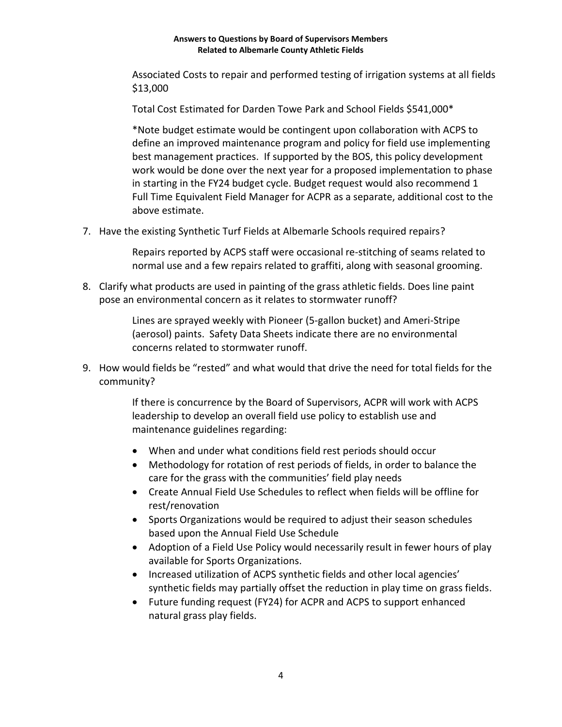Associated Costs to repair and performed testing of irrigation systems at all fields \$13,000

Total Cost Estimated for Darden Towe Park and School Fields \$541,000\*

\*Note budget estimate would be contingent upon collaboration with ACPS to define an improved maintenance program and policy for field use implementing best management practices. If supported by the BOS, this policy development work would be done over the next year for a proposed implementation to phase in starting in the FY24 budget cycle. Budget request would also recommend 1 Full Time Equivalent Field Manager for ACPR as a separate, additional cost to the above estimate.

7. Have the existing Synthetic Turf Fields at Albemarle Schools required repairs?

Repairs reported by ACPS staff were occasional re-stitching of seams related to normal use and a few repairs related to graffiti, along with seasonal grooming.

8. Clarify what products are used in painting of the grass athletic fields. Does line paint pose an environmental concern as it relates to stormwater runoff?

> Lines are sprayed weekly with Pioneer (5-gallon bucket) and Ameri-Stripe (aerosol) paints. Safety Data Sheets indicate there are no environmental concerns related to stormwater runoff.

9. How would fields be "rested" and what would that drive the need for total fields for the community?

> If there is concurrence by the Board of Supervisors, ACPR will work with ACPS leadership to develop an overall field use policy to establish use and maintenance guidelines regarding:

- When and under what conditions field rest periods should occur
- Methodology for rotation of rest periods of fields, in order to balance the care for the grass with the communities' field play needs
- Create Annual Field Use Schedules to reflect when fields will be offline for rest/renovation
- Sports Organizations would be required to adjust their season schedules based upon the Annual Field Use Schedule
- Adoption of a Field Use Policy would necessarily result in fewer hours of play available for Sports Organizations.
- Increased utilization of ACPS synthetic fields and other local agencies' synthetic fields may partially offset the reduction in play time on grass fields.
- Future funding request (FY24) for ACPR and ACPS to support enhanced natural grass play fields.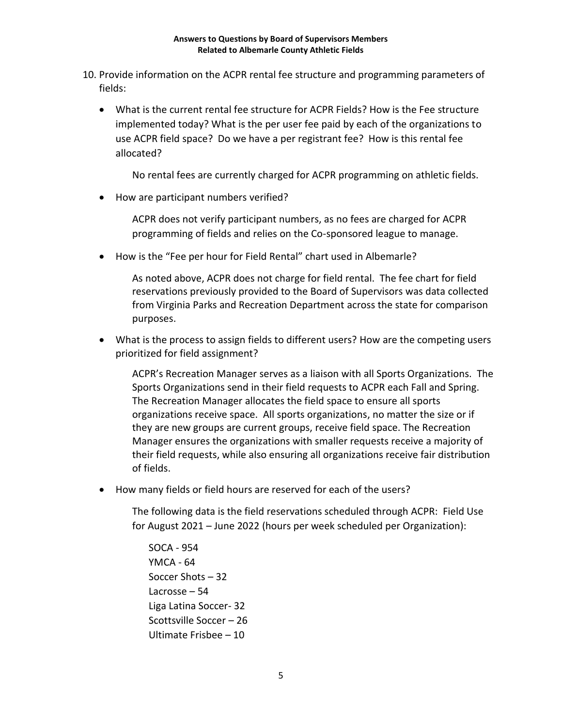- 10. Provide information on the ACPR rental fee structure and programming parameters of fields:
	- What is the current rental fee structure for ACPR Fields? How is the Fee structure implemented today? What is the per user fee paid by each of the organizations to use ACPR field space? Do we have a per registrant fee? How is this rental fee allocated?

No rental fees are currently charged for ACPR programming on athletic fields.

• How are participant numbers verified?

ACPR does not verify participant numbers, as no fees are charged for ACPR programming of fields and relies on the Co-sponsored league to manage.

• How is the "Fee per hour for Field Rental" chart used in Albemarle?

As noted above, ACPR does not charge for field rental. The fee chart for field reservations previously provided to the Board of Supervisors was data collected from Virginia Parks and Recreation Department across the state for comparison purposes.

• What is the process to assign fields to different users? How are the competing users prioritized for field assignment?

ACPR's Recreation Manager serves as a liaison with all Sports Organizations. The Sports Organizations send in their field requests to ACPR each Fall and Spring. The Recreation Manager allocates the field space to ensure all sports organizations receive space. All sports organizations, no matter the size or if they are new groups are current groups, receive field space. The Recreation Manager ensures the organizations with smaller requests receive a majority of their field requests, while also ensuring all organizations receive fair distribution of fields.

• How many fields or field hours are reserved for each of the users?

The following data is the field reservations scheduled through ACPR: Field Use for August 2021 – June 2022 (hours per week scheduled per Organization):

SOCA - 954 YMCA - 64 Soccer Shots – 32 Lacrosse – 54 Liga Latina Soccer- 32 Scottsville Soccer – 26 Ultimate Frisbee – 10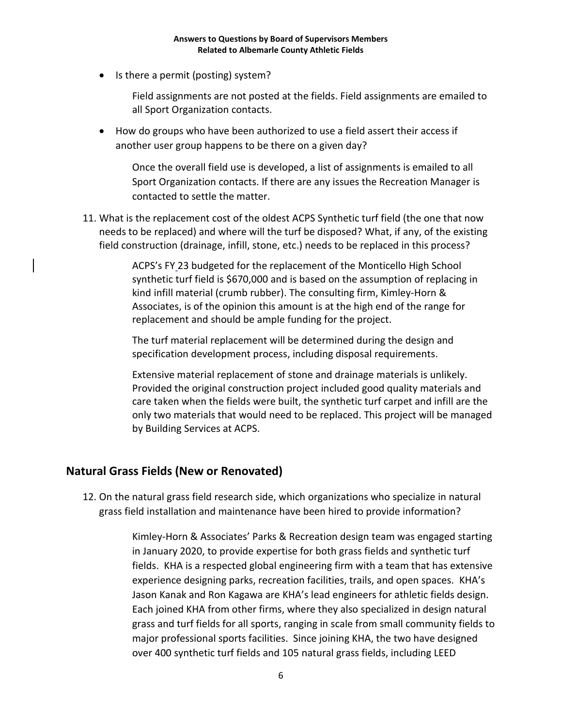• Is there a permit (posting) system?

Field assignments are not posted at the fields. Field assignments are emailed to all Sport Organization contacts.

• How do groups who have been authorized to use a field assert their access if another user group happens to be there on a given day?

Once the overall field use is developed, a list of assignments is emailed to all Sport Organization contacts. If there are any issues the Recreation Manager is contacted to settle the matter.

11. What is the replacement cost of the oldest ACPS Synthetic turf field (the one that now needs to be replaced) and where will the turf be disposed? What, if any, of the existing field construction (drainage, infill, stone, etc.) needs to be replaced in this process?

> ACPS's FY 23 budgeted for the replacement of the Monticello High School synthetic turf field is \$670,000 and is based on the assumption of replacing in kind infill material (crumb rubber). The consulting firm, Kimley-Horn & Associates, is of the opinion this amount is at the high end of the range for replacement and should be ample funding for the project.

The turf material replacement will be determined during the design and specification development process, including disposal requirements.

Extensive material replacement of stone and drainage materials is unlikely. Provided the original construction project included good quality materials and care taken when the fields were built, the synthetic turf carpet and infill are the only two materials that would need to be replaced. This project will be managed by Building Services at ACPS.

### **Natural Grass Fields (New or Renovated)**

12. On the natural grass field research side, which organizations who specialize in natural grass field installation and maintenance have been hired to provide information?

> Kimley-Horn & Associates' Parks & Recreation design team was engaged starting in January 2020, to provide expertise for both grass fields and synthetic turf fields. KHA is a respected global engineering firm with a team that has extensive experience designing parks, recreation facilities, trails, and open spaces. KHA's Jason Kanak and Ron Kagawa are KHA's lead engineers for athletic fields design. Each joined KHA from other firms, where they also specialized in design natural grass and turf fields for all sports, ranging in scale from small community fields to major professional sports facilities. Since joining KHA, the two have designed over 400 synthetic turf fields and 105 natural grass fields, including LEED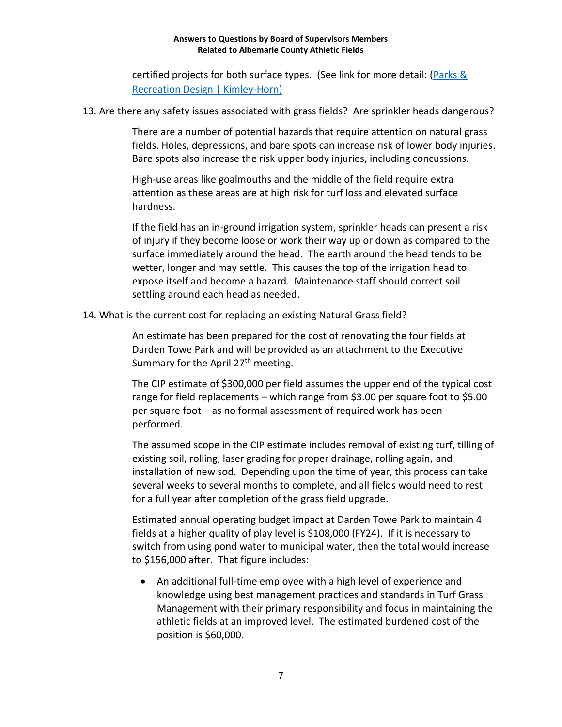certified projects for both surface types. (See link for more detail: [\(Parks](https://www.kimley-horn.com/markets/parks-recreation/) & [Recreation Design | Kimley-Horn\)](https://www.kimley-horn.com/markets/parks-recreation/)

13. Are there any safety issues associated with grass fields? Are sprinkler heads dangerous?

There are a number of potential hazards that require attention on natural grass fields. Holes, depressions, and bare spots can increase risk of lower body injuries. Bare spots also increase the risk upper body injuries, including concussions.

High-use areas like goalmouths and the middle of the field require extra attention as these areas are at high risk for turf loss and elevated surface hardness.

If the field has an in-ground irrigation system, sprinkler heads can present a risk of injury if they become loose or work their way up or down as compared to the surface immediately around the head. The earth around the head tends to be wetter, longer and may settle. This causes the top of the irrigation head to expose itself and become a hazard. Maintenance staff should correct soil settling around each head as needed.

14. What is the current cost for replacing an existing Natural Grass field?

An estimate has been prepared for the cost of renovating the four fields at Darden Towe Park and will be provided as an attachment to the Executive Summary for the April  $27<sup>th</sup>$  meeting.

The CIP estimate of \$300,000 per field assumes the upper end of the typical cost range for field replacements – which range from \$3.00 per square foot to \$5.00 per square foot – as no formal assessment of required work has been performed.

The assumed scope in the CIP estimate includes removal of existing turf, tilling of existing soil, rolling, laser grading for proper drainage, rolling again, and installation of new sod. Depending upon the time of year, this process can take several weeks to several months to complete, and all fields would need to rest for a full year after completion of the grass field upgrade.

Estimated annual operating budget impact at Darden Towe Park to maintain 4 fields at a higher quality of play level is \$108,000 (FY24). If it is necessary to switch from using pond water to municipal water, then the total would increase to \$156,000 after. That figure includes:

• An additional full-time employee with a high level of experience and knowledge using best management practices and standards in Turf Grass Management with their primary responsibility and focus in maintaining the athletic fields at an improved level. The estimated burdened cost of the position is \$60,000.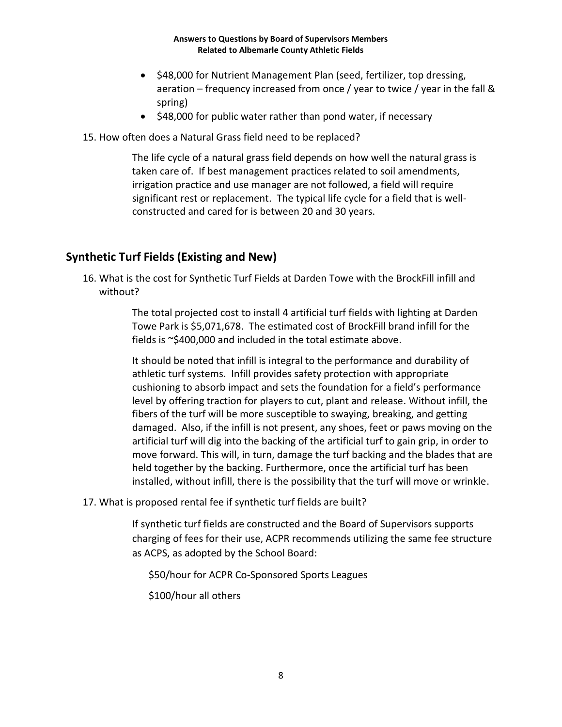- \$48,000 for Nutrient Management Plan (seed, fertilizer, top dressing, aeration – frequency increased from once / year to twice / year in the fall & spring)
- \$48,000 for public water rather than pond water, if necessary
- 15. How often does a Natural Grass field need to be replaced?

The life cycle of a natural grass field depends on how well the natural grass is taken care of. If best management practices related to soil amendments, irrigation practice and use manager are not followed, a field will require significant rest or replacement. The typical life cycle for a field that is wellconstructed and cared for is between 20 and 30 years.

# **Synthetic Turf Fields (Existing and New)**

16. What is the cost for Synthetic Turf Fields at Darden Towe with the BrockFill infill and without?

> The total projected cost to install 4 artificial turf fields with lighting at Darden Towe Park is \$5,071,678. The estimated cost of BrockFill brand infill for the fields is ~\$400,000 and included in the total estimate above.

It should be noted that infill is integral to the performance and durability of athletic turf systems. Infill provides safety protection with appropriate cushioning to absorb impact and sets the foundation for a field's performance level by offering traction for players to cut, plant and release. Without infill, the fibers of the turf will be more susceptible to swaying, breaking, and getting damaged. Also, if the infill is not present, any shoes, feet or paws moving on the artificial turf will dig into the backing of the artificial turf to gain grip, in order to move forward. This will, in turn, damage the turf backing and the blades that are held together by the backing. Furthermore, once the artificial turf has been installed, without infill, there is the possibility that the turf will move or wrinkle.

17. What is proposed rental fee if synthetic turf fields are built?

If synthetic turf fields are constructed and the Board of Supervisors supports charging of fees for their use, ACPR recommends utilizing the same fee structure as ACPS, as adopted by the School Board:

\$50/hour for ACPR Co-Sponsored Sports Leagues

\$100/hour all others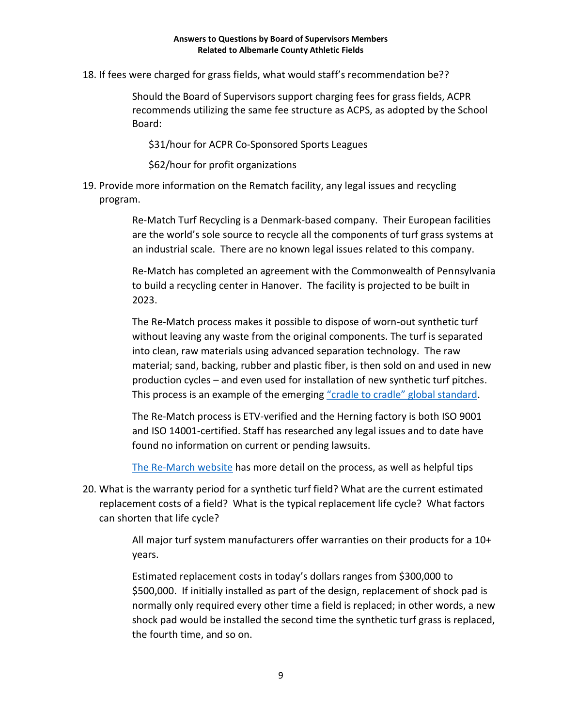18. If fees were charged for grass fields, what would staff's recommendation be??

Should the Board of Supervisors support charging fees for grass fields, ACPR recommends utilizing the same fee structure as ACPS, as adopted by the School Board:

\$31/hour for ACPR Co-Sponsored Sports Leagues

\$62/hour for profit organizations

19. Provide more information on the Rematch facility, any legal issues and recycling program.

> Re-Match Turf Recycling is a Denmark-based company. Their European facilities are the world's sole source to recycle all the components of turf grass systems at an industrial scale. There are no known legal issues related to this company.

> Re-Match has completed an agreement with the Commonwealth of Pennsylvania to build a recycling center in Hanover. The facility is projected to be built in 2023.

> The Re-Match process makes it possible to dispose of worn-out synthetic turf without leaving any waste from the original components. The turf is separated into clean, raw materials using advanced separation technology. The raw material; sand, backing, rubber and plastic fiber, is then sold on and used in new production cycles – and even used for installation of new synthetic turf pitches. This process is an example of the emerging ["cradle to cradle"](https://www.c2ccertified.org/get-certified/product-certification) global standard.

The Re-Match process is ETV-verified and the Herning factory is both ISO 9001 and ISO 14001-certified. Staff has researched any legal issues and to date have found no information on current or pending lawsuits.

[The Re-March website](https://re-match.com/our-products/) has more detail on the process, as well as helpful tips

20. What is the warranty period for a synthetic turf field? What are the current estimated replacement costs of a field? What is the typical replacement life cycle? What factors can shorten that life cycle?

> All major turf system manufacturers offer warranties on their products for a 10+ years.

Estimated replacement costs in today's dollars ranges from \$300,000 to \$500,000. If initially installed as part of the design, replacement of shock pad is normally only required every other time a field is replaced; in other words, a new shock pad would be installed the second time the synthetic turf grass is replaced, the fourth time, and so on.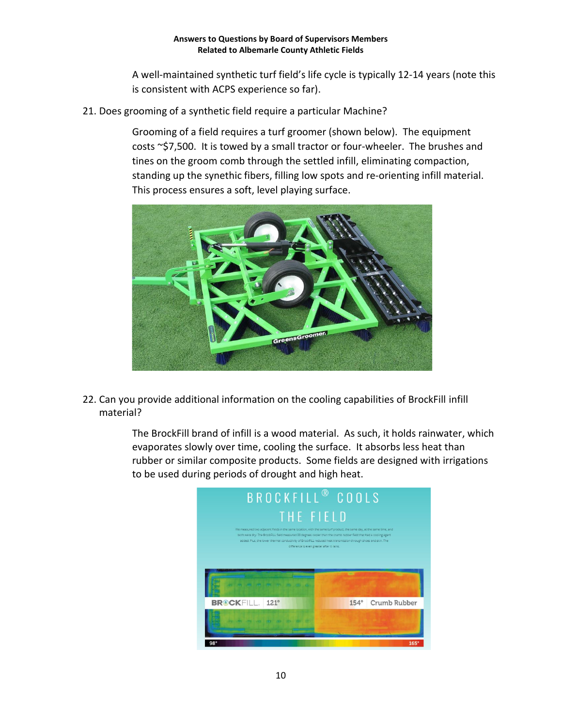A well-maintained synthetic turf field's life cycle is typically 12-14 years (note this is consistent with ACPS experience so far).

21. Does grooming of a synthetic field require a particular Machine?

Grooming of a field requires a turf groomer (shown below). The equipment costs ~\$7,500. It is towed by a small tractor or four-wheeler. The brushes and tines on the groom comb through the settled infill, eliminating compaction, standing up the synethic fibers, filling low spots and re-orienting infill material. This process ensures a soft, level playing surface.



22. Can you provide additional information on the cooling capabilities of BrockFill infill material?

> The BrockFill brand of infill is a wood material. As such, it holds rainwater, which evaporates slowly over time, cooling the surface. It absorbs less heat than rubber or similar composite products. Some fields are designed with irrigations to be used during periods of drought and high heat.

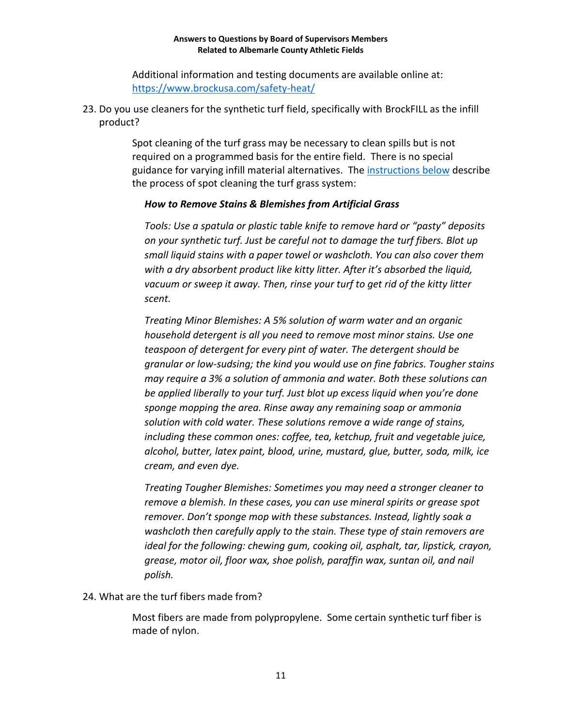Additional information and testing documents are available online at: <https://www.brockusa.com/safety-heat/>

23. Do you use cleaners for the synthetic turf field, specifically with BrockFILL as the infill product?

> Spot cleaning of the turf grass may be necessary to clean spills but is not required on a programmed basis for the entire field. There is no special guidance for varying infill material alternatives. The [instructions](https://www.watersaversturf.biz/about/how-to-clean-artificial-grass/#:~:text=How%20to%20Remove%20Stains%20%26%20Blemishes%20from%20Artificial,cleanses%20%28pH%20below%205%29.%20When%20using%20...%20) below describe the process of spot cleaning the turf grass system:

### *How to Remove Stains & Blemishes from Artificial Grass*

*Tools: Use a spatula or plastic table knife to remove hard or "pasty" deposits on your synthetic turf. Just be careful not to damage the turf fibers. Blot up small liquid stains with a paper towel or washcloth. You can also cover them with a dry absorbent product like kitty litter. After it's absorbed the liquid, vacuum or sweep it away. Then, rinse your turf to get rid of the kitty litter scent.*

*Treating Minor Blemishes: A 5% solution of warm water and an organic household detergent is all you need to remove most minor stains. Use one teaspoon of detergent for every pint of water. The detergent should be granular or low-sudsing; the kind you would use on fine fabrics. Tougher stains may require a 3% a solution of ammonia and water. Both these solutions can be applied liberally to your turf. Just blot up excess liquid when you're done sponge mopping the area. Rinse away any remaining soap or ammonia solution with cold water. These solutions remove a wide range of stains, including these common ones: coffee, tea, ketchup, fruit and vegetable juice, alcohol, butter, latex paint, blood, urine, mustard, glue, butter, soda, milk, ice cream, and even dye.*

*Treating Tougher Blemishes: Sometimes you may need a stronger cleaner to remove a blemish. In these cases, you can use mineral spirits or grease spot remover. Don't sponge mop with these substances. Instead, lightly soak a washcloth then carefully apply to the stain. These type of stain removers are ideal for the following: chewing gum, cooking oil, asphalt, tar, lipstick, crayon, grease, motor oil, floor wax, shoe polish, paraffin wax, suntan oil, and nail polish.*

24. What are the turf fibers made from?

Most fibers are made from polypropylene. Some certain synthetic turf fiber is made of nylon.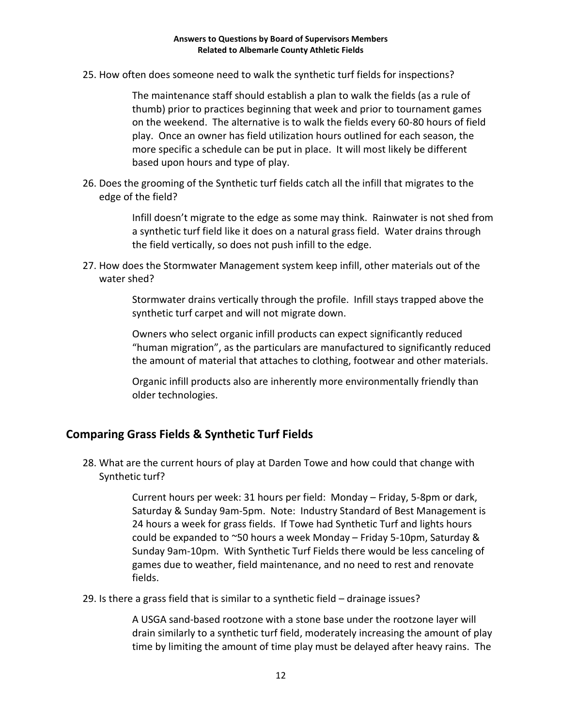25. How often does someone need to walk the synthetic turf fields for inspections?

The maintenance staff should establish a plan to walk the fields (as a rule of thumb) prior to practices beginning that week and prior to tournament games on the weekend. The alternative is to walk the fields every 60-80 hours of field play. Once an owner has field utilization hours outlined for each season, the more specific a schedule can be put in place. It will most likely be different based upon hours and type of play.

26. Does the grooming of the Synthetic turf fields catch all the infill that migrates to the edge of the field?

> Infill doesn't migrate to the edge as some may think. Rainwater is not shed from a synthetic turf field like it does on a natural grass field. Water drains through the field vertically, so does not push infill to the edge.

27. How does the Stormwater Management system keep infill, other materials out of the water shed?

> Stormwater drains vertically through the profile. Infill stays trapped above the synthetic turf carpet and will not migrate down.

Owners who select organic infill products can expect significantly reduced "human migration", as the particulars are manufactured to significantly reduced the amount of material that attaches to clothing, footwear and other materials.

Organic infill products also are inherently more environmentally friendly than older technologies.

### **Comparing Grass Fields & Synthetic Turf Fields**

28. What are the current hours of play at Darden Towe and how could that change with Synthetic turf?

> Current hours per week: 31 hours per field: Monday – Friday, 5-8pm or dark, Saturday & Sunday 9am-5pm. Note: Industry Standard of Best Management is 24 hours a week for grass fields. If Towe had Synthetic Turf and lights hours could be expanded to ~50 hours a week Monday – Friday 5-10pm, Saturday & Sunday 9am-10pm. With Synthetic Turf Fields there would be less canceling of games due to weather, field maintenance, and no need to rest and renovate fields.

29. Is there a grass field that is similar to a synthetic field – drainage issues?

A USGA sand-based rootzone with a stone base under the rootzone layer will drain similarly to a synthetic turf field, moderately increasing the amount of play time by limiting the amount of time play must be delayed after heavy rains. The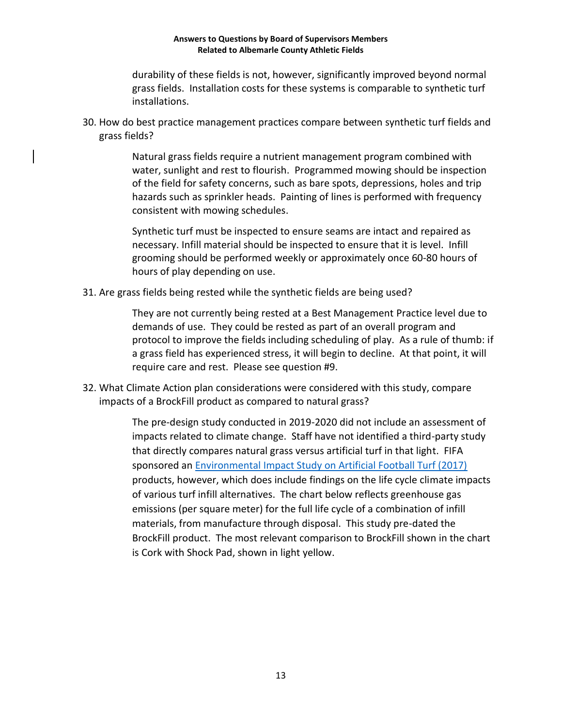durability of these fields is not, however, significantly improved beyond normal grass fields. Installation costs for these systems is comparable to synthetic turf installations.

30. How do best practice management practices compare between synthetic turf fields and grass fields?

> Natural grass fields require a nutrient management program combined with water, sunlight and rest to flourish. Programmed mowing should be inspection of the field for safety concerns, such as bare spots, depressions, holes and trip hazards such as sprinkler heads. Painting of lines is performed with frequency consistent with mowing schedules.

Synthetic turf must be inspected to ensure seams are intact and repaired as necessary. Infill material should be inspected to ensure that it is level. Infill grooming should be performed weekly or approximately once 60-80 hours of hours of play depending on use.

31. Are grass fields being rested while the synthetic fields are being used?

They are not currently being rested at a Best Management Practice level due to demands of use. They could be rested as part of an overall program and protocol to improve the fields including scheduling of play. As a rule of thumb: if a grass field has experienced stress, it will begin to decline. At that point, it will require care and rest. Please see question #9.

32. What Climate Action plan considerations were considered with this study, compare impacts of a BrockFill product as compared to natural grass?

> The pre-design study conducted in 2019-2020 did not include an assessment of impacts related to climate change. Staff have not identified a third-party study that directly compares natural grass versus artificial turf in that light. FIFA sponsored an [Environmental Impact Study on Artificial Football Turf \(2017\)](https://digitalhub.fifa.com/m/cd0245b8305f8b9/original/artificial-turf-recycling.pdf) products, however, which does include findings on the life cycle climate impacts of various turf infill alternatives. The chart below reflects greenhouse gas emissions (per square meter) for the full life cycle of a combination of infill materials, from manufacture through disposal. This study pre-dated the BrockFill product. The most relevant comparison to BrockFill shown in the chart is Cork with Shock Pad, shown in light yellow.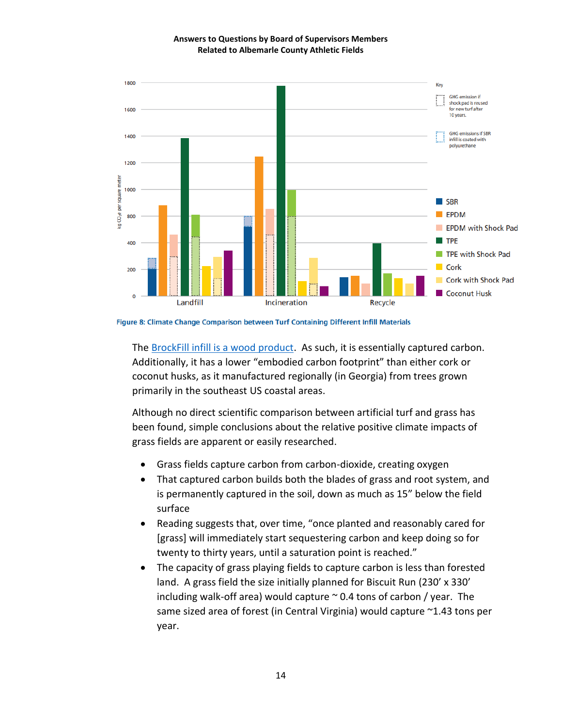

Figure 8: Climate Change Comparison between Turf Containing Different Infill Materials

The [BrockFill infill is a wood product.](https://www.brockusa.com/brockfill-2/) As such, it is essentially captured carbon. Additionally, it has a lower "embodied carbon footprint" than either cork or coconut husks, as it manufactured regionally (in Georgia) from trees grown primarily in the southeast US coastal areas.

Although no direct scientific comparison between artificial turf and grass has been found, simple conclusions about the relative positive climate impacts of grass fields are apparent or easily researched.

- Grass fields capture carbon from carbon-dioxide, creating oxygen
- That captured carbon builds both the blades of grass and root system, and is permanently captured in the soil, down as much as 15" below the field surface
- Reading suggests that, over time, "once planted and reasonably cared for [grass] will immediately start sequestering carbon and keep doing so for twenty to thirty years, until a saturation point is reached."
- The capacity of grass playing fields to capture carbon is less than forested land. A grass field the size initially planned for Biscuit Run (230' x 330' including walk-off area) would capture  $\sim$  0.4 tons of carbon / year. The same sized area of forest (in Central Virginia) would capture ~1.43 tons per year.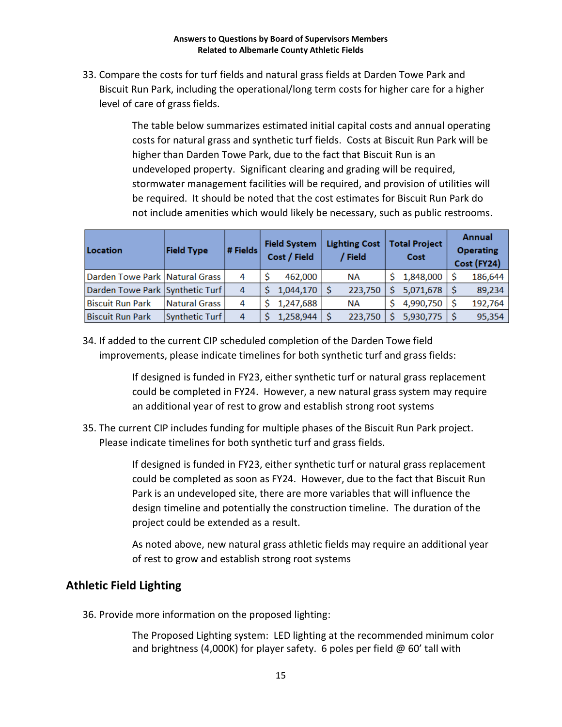33. Compare the costs for turf fields and natural grass fields at Darden Towe Park and Biscuit Run Park, including the operational/long term costs for higher care for a higher level of care of grass fields.

> The table below summarizes estimated initial capital costs and annual operating costs for natural grass and synthetic turf fields. Costs at Biscuit Run Park will be higher than Darden Towe Park, due to the fact that Biscuit Run is an undeveloped property. Significant clearing and grading will be required, stormwater management facilities will be required, and provision of utilities will be required. It should be noted that the cost estimates for Biscuit Run Park do not include amenities which would likely be necessary, such as public restrooms.

| Location                         | <b>Field Type</b> | # Fields | <b>Field System</b><br>Cost / Field |           | <b>Lighting Cost</b><br>Field | <b>Total Project</b><br>Cost |           | <b>Annual</b><br><b>Operating</b><br>Cost (FY24) |         |
|----------------------------------|-------------------|----------|-------------------------------------|-----------|-------------------------------|------------------------------|-----------|--------------------------------------------------|---------|
| Darden Towe Park   Natural Grass |                   | 4        |                                     | 462.000   | <b>NA</b>                     |                              | 1,848,000 |                                                  | 186,644 |
| Darden Towe Park Synthetic Turf  |                   | 4        |                                     | 1,044,170 | 223,750                       |                              | 5,071,678 |                                                  | 89,234  |
| Biscuit Run Park                 | Natural Grass I   | 4        |                                     | 1,247,688 | <b>NA</b>                     |                              | 4,990,750 |                                                  | 192,764 |
| <b>Biscuit Run Park</b>          | Synthetic Turf    | 4        |                                     | 1,258,944 | 223,750                       |                              | 5,930,775 |                                                  | 95,354  |

34. If added to the current CIP scheduled completion of the Darden Towe field improvements, please indicate timelines for both synthetic turf and grass fields:

> If designed is funded in FY23, either synthetic turf or natural grass replacement could be completed in FY24. However, a new natural grass system may require an additional year of rest to grow and establish strong root systems

35. The current CIP includes funding for multiple phases of the Biscuit Run Park project. Please indicate timelines for both synthetic turf and grass fields.

> If designed is funded in FY23, either synthetic turf or natural grass replacement could be completed as soon as FY24. However, due to the fact that Biscuit Run Park is an undeveloped site, there are more variables that will influence the design timeline and potentially the construction timeline. The duration of the project could be extended as a result.

> As noted above, new natural grass athletic fields may require an additional year of rest to grow and establish strong root systems

# **Athletic Field Lighting**

36. Provide more information on the proposed lighting:

The Proposed Lighting system: LED lighting at the recommended minimum color and brightness (4,000K) for player safety. 6 poles per field  $\omega$  60' tall with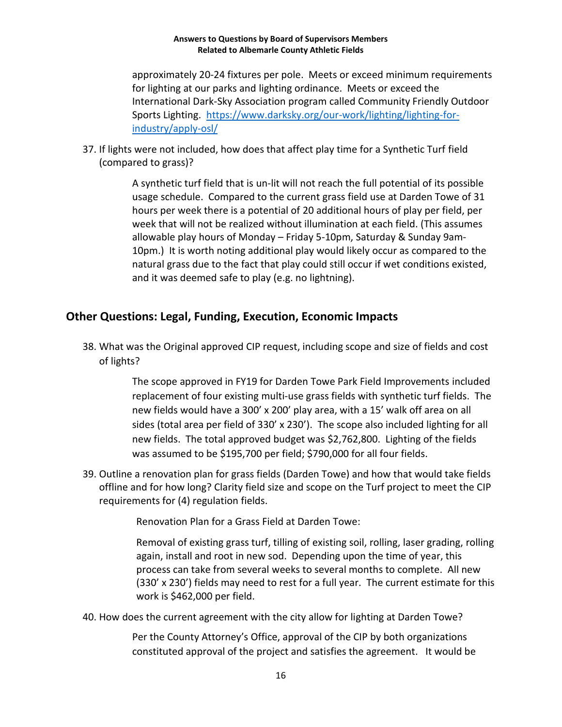approximately 20-24 fixtures per pole. Meets or exceed minimum requirements for lighting at our parks and lighting ordinance. Meets or exceed the International Dark-Sky Association program called Community Friendly Outdoor Sports Lighting. [https://www.darksky.org/our-work/lighting/lighting-for](https://www.darksky.org/our-work/lighting/lighting-for-industry/apply-osl/)[industry/apply-osl/](https://www.darksky.org/our-work/lighting/lighting-for-industry/apply-osl/)

37. If lights were not included, how does that affect play time for a Synthetic Turf field (compared to grass)?

> A synthetic turf field that is un-lit will not reach the full potential of its possible usage schedule. Compared to the current grass field use at Darden Towe of 31 hours per week there is a potential of 20 additional hours of play per field, per week that will not be realized without illumination at each field. (This assumes allowable play hours of Monday – Friday 5-10pm, Saturday & Sunday 9am-10pm.) It is worth noting additional play would likely occur as compared to the natural grass due to the fact that play could still occur if wet conditions existed, and it was deemed safe to play (e.g. no lightning).

# **Other Questions: Legal, Funding, Execution, Economic Impacts**

38. What was the Original approved CIP request, including scope and size of fields and cost of lights?

> The scope approved in FY19 for Darden Towe Park Field Improvements included replacement of four existing multi-use grass fields with synthetic turf fields. The new fields would have a 300' x 200' play area, with a 15' walk off area on all sides (total area per field of 330' x 230'). The scope also included lighting for all new fields. The total approved budget was \$2,762,800. Lighting of the fields was assumed to be \$195,700 per field; \$790,000 for all four fields.

39. Outline a renovation plan for grass fields (Darden Towe) and how that would take fields offline and for how long? Clarity field size and scope on the Turf project to meet the CIP requirements for (4) regulation fields.

Renovation Plan for a Grass Field at Darden Towe:

Removal of existing grass turf, tilling of existing soil, rolling, laser grading, rolling again, install and root in new sod. Depending upon the time of year, this process can take from several weeks to several months to complete. All new (330' x 230') fields may need to rest for a full year. The current estimate for this work is \$462,000 per field.

40. How does the current agreement with the city allow for lighting at Darden Towe?

Per the County Attorney's Office, approval of the CIP by both organizations constituted approval of the project and satisfies the agreement. It would be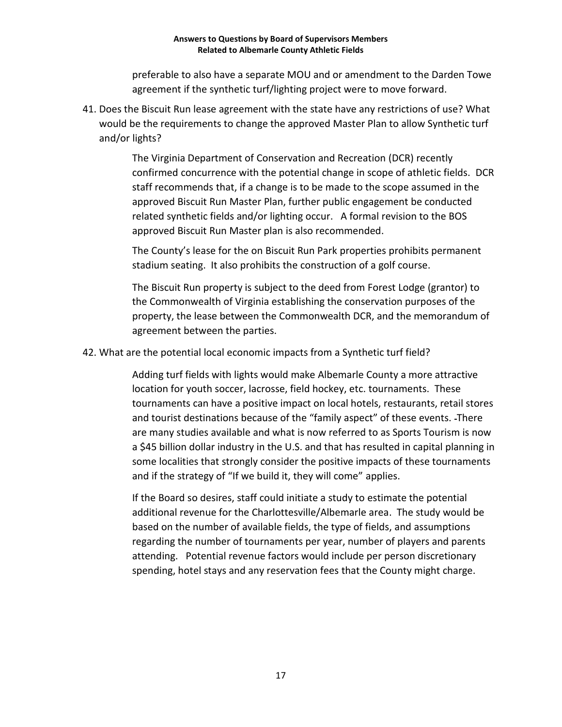preferable to also have a separate MOU and or amendment to the Darden Towe agreement if the synthetic turf/lighting project were to move forward.

41. Does the Biscuit Run lease agreement with the state have any restrictions of use? What would be the requirements to change the approved Master Plan to allow Synthetic turf and/or lights?

> The Virginia Department of Conservation and Recreation (DCR) recently confirmed concurrence with the potential change in scope of athletic fields. DCR staff recommends that, if a change is to be made to the scope assumed in the approved Biscuit Run Master Plan, further public engagement be conducted related synthetic fields and/or lighting occur. A formal revision to the BOS approved Biscuit Run Master plan is also recommended.

The County's lease for the on Biscuit Run Park properties prohibits permanent stadium seating. It also prohibits the construction of a golf course.

The Biscuit Run property is subject to the deed from Forest Lodge (grantor) to the Commonwealth of Virginia establishing the conservation purposes of the property, the lease between the Commonwealth DCR, and the memorandum of agreement between the parties.

42. What are the potential local economic impacts from a Synthetic turf field?

Adding turf fields with lights would make Albemarle County a more attractive location for youth soccer, lacrosse, field hockey, etc. tournaments. These tournaments can have a positive impact on local hotels, restaurants, retail stores and tourist destinations because of the "family aspect" of these events. There are many studies available and what is now referred to as Sports Tourism is now a \$45 billion dollar industry in the U.S. and that has resulted in capital planning in some localities that strongly consider the positive impacts of these tournaments and if the strategy of "If we build it, they will come" applies.

If the Board so desires, staff could initiate a study to estimate the potential additional revenue for the Charlottesville/Albemarle area. The study would be based on the number of available fields, the type of fields, and assumptions regarding the number of tournaments per year, number of players and parents attending. Potential revenue factors would include per person discretionary spending, hotel stays and any reservation fees that the County might charge.